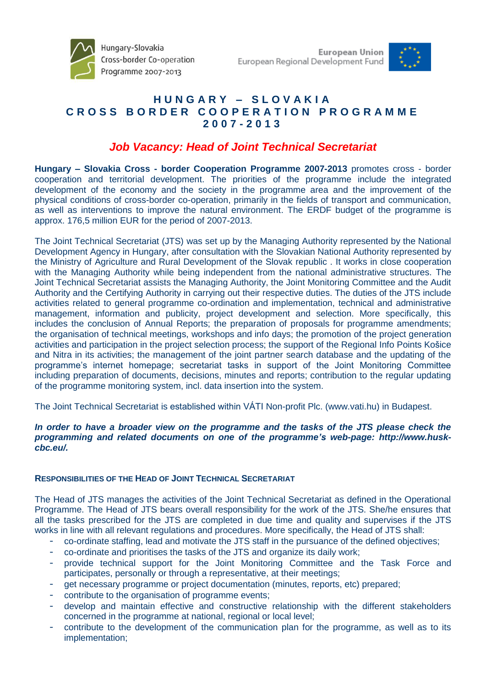



## **H U N G A R Y – S L O V A K I A C R O S S B O R D E R C O O P E R A T I O N P R O G R A M M E 2 0 0 7 - 2 0 1 3**

# *Job Vacancy: Head of Joint Technical Secretariat*

**Hungary – Slovakia Cross - border Cooperation Programme 2007-2013** promotes cross - border cooperation and territorial development. The priorities of the programme include the integrated development of the economy and the society in the programme area and the improvement of the physical conditions of cross-border co-operation, primarily in the fields of transport and communication, as well as interventions to improve the natural environment. The ERDF budget of the programme is approx. 176,5 million EUR for the period of 2007-2013.

The Joint Technical Secretariat (JTS) was set up by the Managing Authority represented by the National Development Agency in Hungary, after consultation with the Slovakian National Authority represented by the Ministry of Agriculture and Rural Development of the Slovak republic . It works in close cooperation with the Managing Authority while being independent from the national administrative structures. The Joint Technical Secretariat assists the Managing Authority, the Joint Monitoring Committee and the Audit Authority and the Certifying Authority in carrying out their respective duties. The duties of the JTS include activities related to general programme co-ordination and implementation, technical and administrative management, information and publicity, project development and selection. More specifically, this includes the conclusion of Annual Reports; the preparation of proposals for programme amendments; the organisation of technical meetings, workshops and info days; the promotion of the project generation activities and participation in the project selection process; the support of the Regional Info Points Košice and Nitra in its activities; the management of the joint partner search database and the updating of the programme's internet homepage; secretariat tasks in support of the Joint Monitoring Committee including preparation of documents, decisions, minutes and reports; contribution to the regular updating of the programme monitoring system, incl. data insertion into the system.

The Joint Technical Secretariat is established within VÁTI Non-profit Plc. (www.vati.hu) in Budapest.

## In order to have a broader view on the programme and the tasks of the JTS please check the *programming and related documents on one of the programme's web-page: http://www.huskcbc.eu/.*

## **RESPONSIBILITIES OF THE HEAD OF JOINT TECHNICAL SECRETARIAT**

The Head of JTS manages the activities of the Joint Technical Secretariat as defined in the Operational Programme. The Head of JTS bears overall responsibility for the work of the JTS. She/he ensures that all the tasks prescribed for the JTS are completed in due time and quality and supervises if the JTS works in line with all relevant regulations and procedures. More specifically, the Head of JTS shall:

- co-ordinate staffing, lead and motivate the JTS staff in the pursuance of the defined objectives;
- co-ordinate and prioritises the tasks of the JTS and organize its daily work;
- provide technical support for the Joint Monitoring Committee and the Task Force and participates, personally or through a representative, at their meetings;
- get necessary programme or project documentation (minutes, reports, etc) prepared;
- contribute to the organisation of programme events;
- develop and maintain effective and constructive relationship with the different stakeholders concerned in the programme at national, regional or local level;
- contribute to the development of the communication plan for the programme, as well as to its implementation;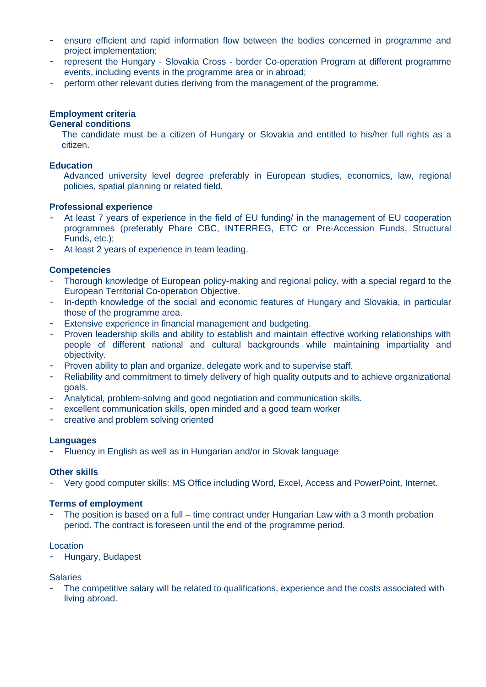- ensure efficient and rapid information flow between the bodies concerned in programme and project implementation;
- represent the Hungary Slovakia Cross border Co-operation Program at different programme events, including events in the programme area or in abroad;
- perform other relevant duties deriving from the management of the programme.

#### **Employment criteria General conditions**

The candidate must be a citizen of Hungary or Slovakia and entitled to his/her full rights as a citizen.

## **Education**

Advanced university level degree preferably in European studies, economics, law, regional policies, spatial planning or related field.

## **Professional experience**

- At least 7 years of experience in the field of EU funding/ in the management of EU cooperation programmes (preferably Phare CBC, INTERREG, ETC or Pre-Accession Funds, Structural Funds, etc.);
- At least 2 years of experience in team leading.

## **Competencies**

- Thorough knowledge of European policy-making and regional policy, with a special regard to the European Territorial Co-operation Objective.
- In-depth knowledge of the social and economic features of Hungary and Slovakia, in particular those of the programme area.
- Extensive experience in financial management and budgeting.
- Proven leadership skills and ability to establish and maintain effective working relationships with people of different national and cultural backgrounds while maintaining impartiality and objectivity.
- Proven ability to plan and organize, delegate work and to supervise staff.
- Reliability and commitment to timely delivery of high quality outputs and to achieve organizational goals.
- Analytical, problem-solving and good negotiation and communication skills.
- excellent communication skills, open minded and a good team worker
- creative and problem solving oriented

#### **Languages**

- Fluency in English as well as in Hungarian and/or in Slovak language

#### **Other skills**

- Very good computer skills: MS Office including Word, Excel, Access and PowerPoint, Internet.

## **Terms of employment**

The position is based on a full – time contract under Hungarian Law with a 3 month probation period. The contract is foreseen until the end of the programme period.

#### Location

- Hungary, Budapest

#### **Salaries**

The competitive salary will be related to qualifications, experience and the costs associated with living abroad.